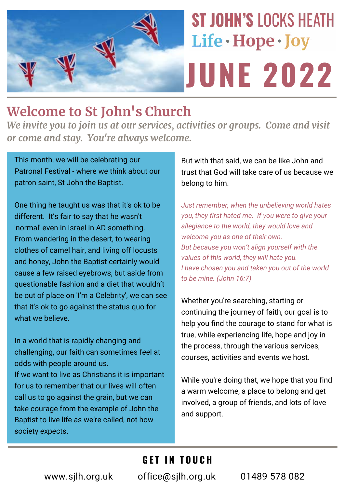

# **Welcome to St John's Church**

*We invite you to join us at our services, activities or groups. Come and visit or come and stay. You're always welcome.*

This month, we will be celebrating our Patronal Festival - where we think about our patron saint, St John the Baptist.

One thing he taught us was that it's ok to be different. It's fair to say that he wasn't 'normal' even in Israel in AD something. From wandering in the desert, to wearing clothes of camel hair, and living off locusts and honey, John the Baptist certainly would cause a few raised eyebrows, but aside from questionable fashion and a diet that wouldn't be out of place on 'I'm a Celebrity', we can see that it's ok to go against the status quo for what we believe.

In a world that is rapidly changing and challenging, our faith can sometimes feel at odds with people around us. If we want to live as Christians it is important for us to remember that our lives will often call us to go against the grain, but we can take courage from the example of John the Baptist to live life as we're called, not how society expects.

But with that said, we can be like John and trust that God will take care of us because we belong to him.

*Just remember, when the unbelieving world hates you, they first hated me. If you were to give your allegiance to the world, they would love and welcome you as one of their own. But because you won't align yourself with the values of this world, they will hate you. I have chosen you and taken you out of the world to be mine. (John 16:7)*

Whether you're searching, starting or continuing the journey of faith, our goal is to help you find the courage to stand for what is true, while experiencing life, hope and joy in the process, through the various services, courses, activities and events we host.

While you're doing that, we hope that you find a warm welcome, a place to belong and get involved, a group of friends, and lots of love and support.

### **GET IN TOUCH**

www.sjlh.org.uk office@sjlh.org.uk 01489 578 082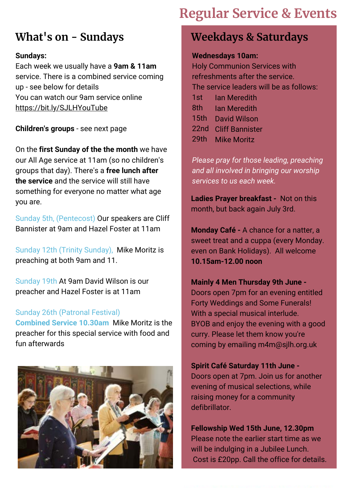# **Regular Service & Events**

## **What's on - Sundays**

### **Sundays:**

Each week we usually have a **9am & 11am** service. There is a combined service coming up - see below for details You can watch our 9am service online [https://bit.ly/SJLHYouTube](https://tinyurl.com/y85h9vwq)

**Children's groups** - see next page

On the **first Sunday of the the month** we have our All Age service at 11am (so no children's groups that day). There's a **free lunch after the service** and the service will still have something for everyone no matter what age you are.

Sunday 5th, (Pentecost) Our speakers are Cliff Bannister at 9am and Hazel Foster at 11am

Sunday 12th (Trinity Sunday), Mike Moritz is preaching at both 9am and 11.

Sunday 19th At 9am David Wilson is our preacher and Hazel Foster is at 11am

### Sunday 26th (Patronal Festival)

**Combined Service 10.30am** Mike Moritz is the preacher for this special service with food and fun afterwards



### **Weekdays & Saturdays**

### **Wednesdays 10am:**

Holy Communion Services with refreshments after the service. The service leaders will be as follows: 1st 8th 15th David Wilson 22nd Cliff Bannister 29th Mike MoritzIan Meredith Ian Meredith

*Please pray for those leading, preaching and all involved in bringing our worship services to us each week.*

**Ladies Prayer breakfast -** Not on this month, but back again July 3rd.

**Monday Café -** A chance for a natter, a sweet treat and a cuppa (every Monday. even on Bank Holidays). All welcome **10.15am-12.00 noon**

### **Mainly 4 Men Thursday 9th June -**

Doors open 7pm for an evening entitled Forty Weddings and Some Funerals! With a special musical interlude. BYOB and enjoy the evening with a good curry. Please let them know you're coming by emailing m4m@sjlh.org.uk

### **Spirit Café Saturday 11th June -**

Doors open at 7pm. Join us for another evening of musical selections, while raising money for a community defibrillator.

**Fellowship Wed 15th June, 12.30pm**  Please note the earlier start time as we will be indulging in a Jubilee Lunch. Cost is £20pp. Call the office for details.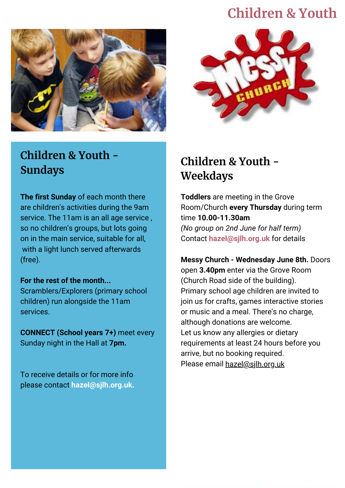## **Children & Youth**





## **Children & Youth - Sundays**

**The first Sunday** of each month there are children's activities during the 9am service. The 11am is an all age service , so no children's groups, but lots going on in the main service, suitable for all, with a light lunch served afterwards (free).

### **For the rest of the month...**

Scramblers/Explorers (primary school children) run alongside the 11am services.

**CONNECT (School years 7+)** meet every Sunday night in the Hall at **7pm.**

To receive details or for more info please contact **hazel@sjlh.org.uk.**

## **Children & Youth - Weekdays**

**Toddlers** are meeting in the Grove Room/Church **every Thursday** during term time **10.00-11.30am**  *(No group on 2nd June for half term)* Contact **hazel@sjlh.org.uk** for details

**Messy Church - Wednesday June 8th.** Doors open **3.40pm** enter via the Grove Room (Church Road side of the building). Primary school age children are invited to join us for crafts, games interactive stories or music and a meal. There's no charge, although donations are welcome. Let us know any allergies or dietary requirements at least 24 hours before you arrive, but no booking required. Please email [hazel@sjlh.org.uk](mailto:hazel@sjlh.org.uk)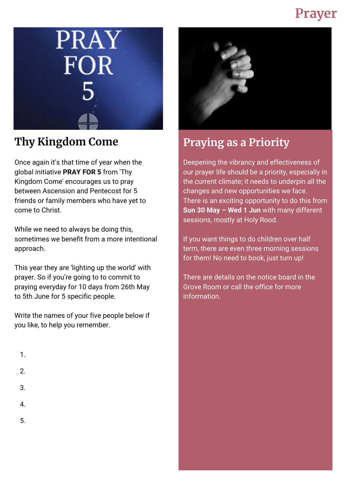# **Prayer**



Once again it's that time of year when the global initiative **PRAY FOR 5** from 'Thy Kingdom Come' encourages us to pray between Ascension and Pentecost for 5 friends or family members who have yet to come to Christ.

While we need to always be doing this, sometimes we benefit from a more intentional approach.

This year they are 'lighting up the world' with prayer. So if you're going to to commit to praying everyday for 10 days from 26th May to 5th June for 5 specific people.

Write the names of your five people below if you like, to help you remember.

- 1.
- 2.
- 3.
- 4.
- 5.



## **Thy Kingdom Come**  Praying as a Priority

Deepening the vibrancy and effectiveness of our prayer life should be a priority, especially in the current climate; it needs to underpin all the changes and new opportunities we face. There is an exciting opportunity to do this from **Sun 30 May – Wed 1 Jun** with many different sessions, mostly at Holy Rood.

If you want things to do children over half term, there are even three morning sessions for them! No need to book, just turn up!

There are details on the notice board in the Grove Room or call the office for more information.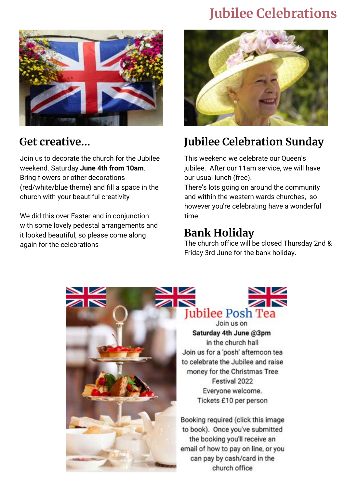# **Jubilee Celebrations**



Join us to decorate the church for the Jubilee weekend. Saturday **June 4th from 10am**. Bring flowers or other decorations (red/white/blue theme) and fill a space in the church with your beautiful creativity

We did this over Easter and in conjunction with some lovely pedestal arrangements and it looked beautiful, so please come along again for the celebrations



# **Get creative... Jubilee Celebration Sunday**

This weekend we celebrate our Queen's jubilee. After our 11am service, we will have our usual lunch (free).

There's lots going on around the community and within the western wards churches, so however you're celebrating have a wonderful time.

### **Bank Holiday**

The church office will be closed Thursday 2nd & Friday 3rd June for the bank holiday.

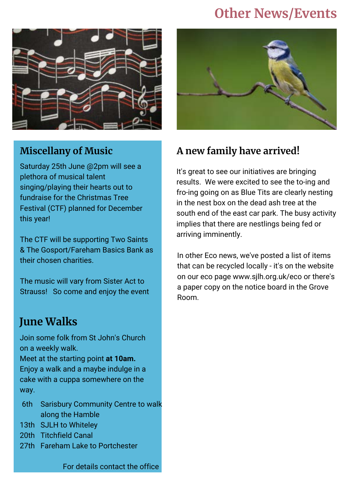# **Other News/Events**



### **Miscellany of Music**

Saturday 25th June @2pm will see a plethora of musical talent singing/playing their hearts out to fundraise for the Christmas Tree Festival (CTF) planned for December this year!

The CTF will be supporting Two Saints & The Gosport/Fareham Basics Bank as their chosen charities.

The music will vary from Sister Act to Strauss! So come and enjoy the event

### **June Walks**

Join some folk from St John's Church on a weekly walk.

Meet at the starting point **at 10am.** Enjoy a walk and a maybe indulge in a cake with a cuppa somewhere on the way.

- 6th Sarisbury Community Centre to walk along the Hamble
- 13th SJLH to Whiteley
- 20th Titchfield Canal
- 27th Fareham Lake to Portchester



### **A new family have arrived!**

It's great to see our initiatives are bringing results. We were excited to see the to-ing and fro-ing going on as Blue Tits are clearly nesting in the nest box on the dead ash tree at the south end of the east car park. The busy activity implies that there are nestlings being fed or arriving imminently.

In other Eco news, we've posted a list of items that can be recycled locally - it's on the website on our eco page www.sjlh.org.uk/eco or there's a paper copy on the notice board in the Grove Room.

For details contact the office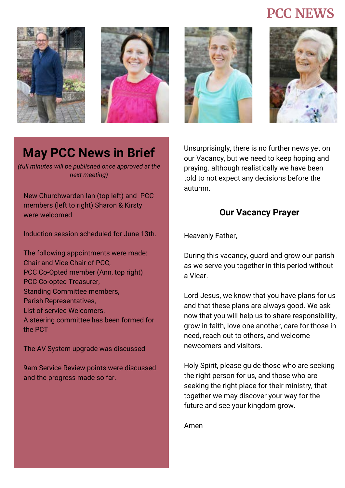## **PCC NEWS**









# **May PCC News in Brief**

*(full minutes will be published once approved at the next meeting)*

New Churchwarden Ian (top left) and PCC members (left to right) Sharon & Kirsty were welcomed

Induction session scheduled for June 13th.

The following appointments were made: Chair and Vice Chair of PCC, PCC Co-Opted member (Ann, top right) PCC Co-opted Treasurer, Standing Committee members, Parish Representatives, List of service Welcomers. A steering committee has been formed for the PCT

The AV System upgrade was discussed

9am Service Review points were discussed and the progress made so far.

Unsurprisingly, there is no further news yet on our Vacancy, but we need to keep hoping and praying. although realistically we have been told to not expect any decisions before the autumn.

### **Our Vacancy Prayer**

Heavenly Father,

During this vacancy, guard and grow our parish as we serve you together in this period without a Vicar.

Lord Jesus, we know that you have plans for us and that these plans are always good. We ask now that you will help us to share responsibility, grow in faith, love one another, care for those in need, reach out to others, and welcome newcomers and visitors.

Holy Spirit, please guide those who are seeking the right person for us, and those who are seeking the right place for their ministry, that together we may discover your way for the future and see your kingdom grow.

Amen